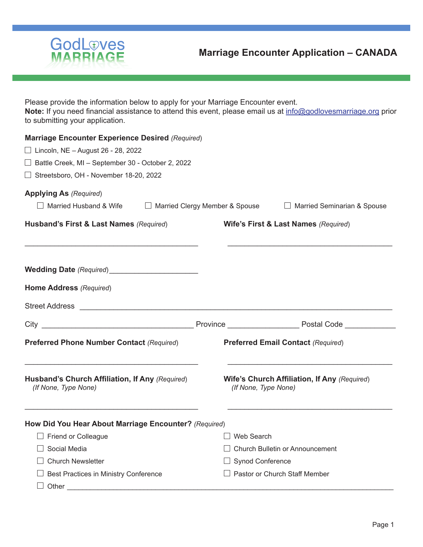

Please provide the information below to apply for your Marriage Encounter event. **Note:** If you need financial assistance to attend this event, please email us at info@godlovesmarriage.org prior to submitting your application.

| <b>Marriage Encounter Experience Desired (Required)</b><br>$\Box$ Lincoln, NE - August 26 - 28, 2022<br>$\Box$ Battle Creek, MI - September 30 - October 2, 2022 |                                                                        |
|------------------------------------------------------------------------------------------------------------------------------------------------------------------|------------------------------------------------------------------------|
| $\Box$ Streetsboro, OH - November 18-20, 2022                                                                                                                    |                                                                        |
| <b>Applying As (Required)</b>                                                                                                                                    |                                                                        |
| $\Box$ Married Husband & Wife                                                                                                                                    | □ Married Clergy Member & Spouse<br>$\Box$ Married Seminarian & Spouse |
| Husband's First & Last Names (Required)                                                                                                                          | Wife's First & Last Names (Required)                                   |
|                                                                                                                                                                  |                                                                        |
| Home Address (Required)                                                                                                                                          |                                                                        |
|                                                                                                                                                                  |                                                                        |
|                                                                                                                                                                  | City <b>Example 2018</b> Province <b>Province</b> Postal Code          |
| <b>Preferred Phone Number Contact (Required)</b>                                                                                                                 | <b>Preferred Email Contact (Required)</b>                              |
| Husband's Church Affiliation, If Any (Required)<br>(If None, Type None)                                                                                          | Wife's Church Affiliation, If Any (Required)<br>(If None, Type None)   |
| How Did You Hear About Marriage Encounter? (Required)                                                                                                            |                                                                        |
| $\Box$ Friend or Colleague                                                                                                                                       | $\Box$ Web Search                                                      |
| Social Media                                                                                                                                                     | Church Bulletin or Announcement                                        |
| <b>Church Newsletter</b>                                                                                                                                         | <b>Synod Conference</b>                                                |
| Best Practices in Ministry Conference<br>$\blacksquare$<br>Other                                                                                                 | $\Box$ Pastor or Church Staff Member                                   |